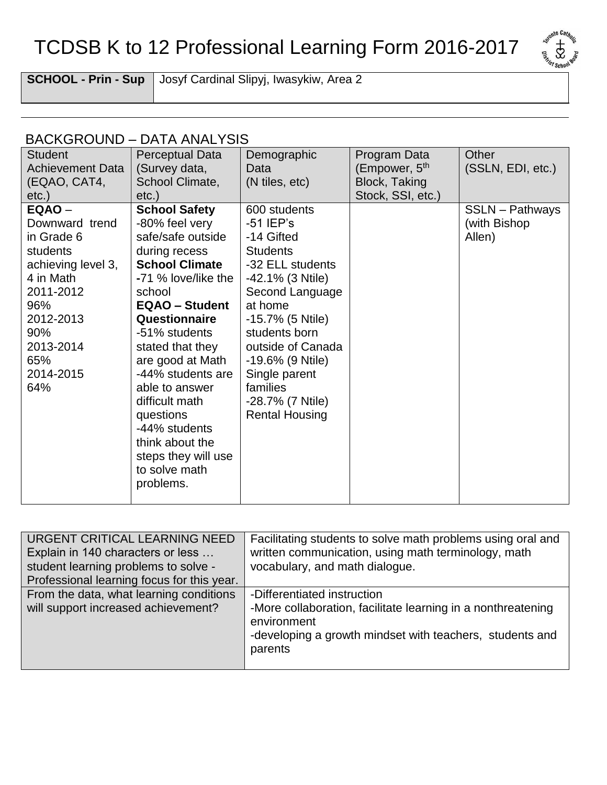## TCDSB K to 12 Professional Learning Form 2016-2017



**SCHOOL - Prin - Sup** Josyf Cardinal Slipyj, Iwasykiw, Area 2

## BACKGROUND – DATA ANALYSIS

| <b>Student</b><br><b>Achievement Data</b><br>(EQAO, CAT4,<br>etc.)                                                                                                    | Perceptual Data<br>(Survey data,<br>School Climate,<br>$etc.$ )                                                                                                                                                                                                                                                                                                                                          | Demographic<br>Data<br>(N tiles, etc)                                                                                                                                                                                                                                                      | Program Data<br>(Empower, 5 <sup>th</sup><br><b>Block, Taking</b><br>Stock, SSI, etc.) | Other<br>(SSLN, EDI, etc.)                       |
|-----------------------------------------------------------------------------------------------------------------------------------------------------------------------|----------------------------------------------------------------------------------------------------------------------------------------------------------------------------------------------------------------------------------------------------------------------------------------------------------------------------------------------------------------------------------------------------------|--------------------------------------------------------------------------------------------------------------------------------------------------------------------------------------------------------------------------------------------------------------------------------------------|----------------------------------------------------------------------------------------|--------------------------------------------------|
| EQAO -<br>Downward trend<br>in Grade 6<br>students<br>achieving level 3,<br>4 in Math<br>2011-2012<br>96%<br>2012-2013<br>90%<br>2013-2014<br>65%<br>2014-2015<br>64% | <b>School Safety</b><br>-80% feel very<br>safe/safe outside<br>during recess<br><b>School Climate</b><br>-71 % love/like the<br>school<br><b>EQAO - Student</b><br>Questionnaire<br>-51% students<br>stated that they<br>are good at Math<br>-44% students are<br>able to answer<br>difficult math<br>questions<br>-44% students<br>think about the<br>steps they will use<br>to solve math<br>problems. | 600 students<br>$-51$ IEP's<br>-14 Gifted<br><b>Students</b><br>-32 ELL students<br>-42.1% (3 Ntile)<br>Second Language<br>at home<br>-15.7% (5 Ntile)<br>students born<br>outside of Canada<br>-19.6% (9 Ntile)<br>Single parent<br>families<br>-28.7% (7 Ntile)<br><b>Rental Housing</b> |                                                                                        | <b>SSLN</b> - Pathways<br>(with Bishop<br>Allen) |

| URGENT CRITICAL LEARNING NEED              | Facilitating students to solve math problems using oral and                 |
|--------------------------------------------|-----------------------------------------------------------------------------|
| Explain in 140 characters or less          | written communication, using math terminology, math                         |
| student learning problems to solve -       | vocabulary, and math dialogue.                                              |
| Professional learning focus for this year. |                                                                             |
| From the data, what learning conditions    | -Differentiated instruction                                                 |
| will support increased achievement?        | -More collaboration, facilitate learning in a nonthreatening<br>environment |
|                                            | -developing a growth mindset with teachers, students and<br>parents         |
|                                            |                                                                             |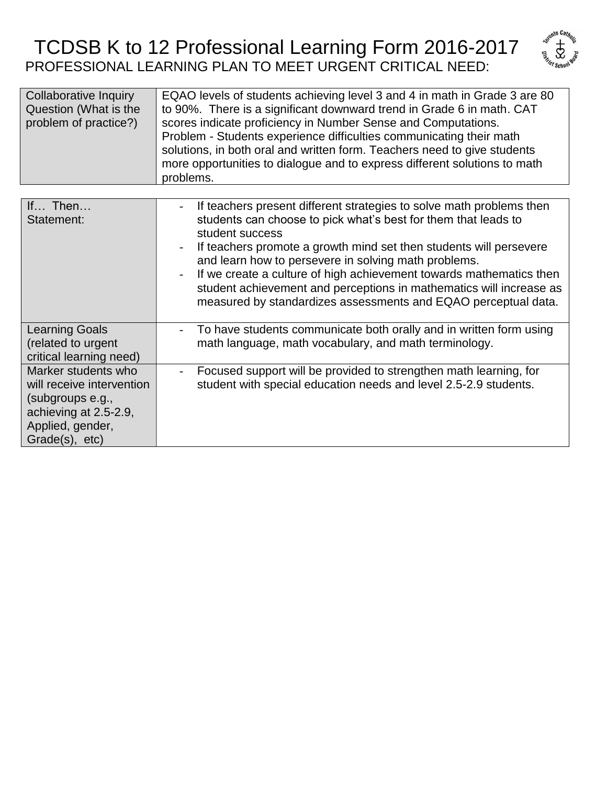## TCDSB K to 12 Professional Learning Form 2016-2017 PROFESSIONAL LEARNING PLAN TO MEET URGENT CRITICAL NEED:



| <b>Collaborative Inquiry</b> | EQAO levels of students achieving level 3 and 4 in math in Grade 3 are 80 |
|------------------------------|---------------------------------------------------------------------------|
| Question (What is the        | to 90%. There is a significant downward trend in Grade 6 in math. CAT     |
| problem of practice?)        | scores indicate proficiency in Number Sense and Computations.             |
|                              | Problem - Students experience difficulties communicating their math       |
|                              | solutions, in both oral and written form. Teachers need to give students  |
|                              | more opportunities to dialogue and to express different solutions to math |
|                              | problems.                                                                 |

| If Then<br>Statement:                                                                                                               | If teachers present different strategies to solve math problems then<br>students can choose to pick what's best for them that leads to<br>student success<br>If teachers promote a growth mind set then students will persevere<br>and learn how to persevere in solving math problems.<br>If we create a culture of high achievement towards mathematics then<br>student achievement and perceptions in mathematics will increase as<br>measured by standardizes assessments and EQAO perceptual data. |
|-------------------------------------------------------------------------------------------------------------------------------------|---------------------------------------------------------------------------------------------------------------------------------------------------------------------------------------------------------------------------------------------------------------------------------------------------------------------------------------------------------------------------------------------------------------------------------------------------------------------------------------------------------|
| <b>Learning Goals</b><br>(related to urgent<br>critical learning need)                                                              | To have students communicate both orally and in written form using<br>math language, math vocabulary, and math terminology.                                                                                                                                                                                                                                                                                                                                                                             |
| Marker students who<br>will receive intervention<br>(subgroups e.g.,<br>achieving at 2.5-2.9,<br>Applied, gender,<br>Grade(s), etc) | Focused support will be provided to strengthen math learning, for<br>student with special education needs and level 2.5-2.9 students.                                                                                                                                                                                                                                                                                                                                                                   |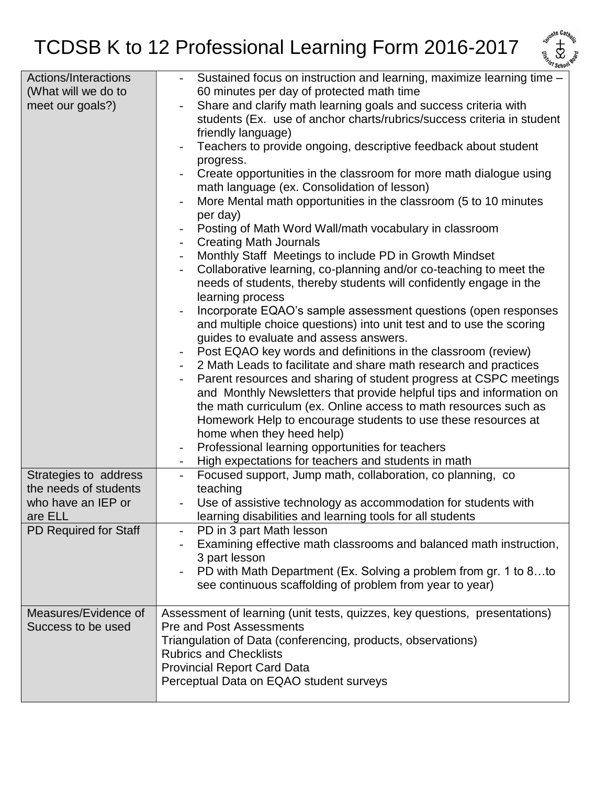

| Actions/Interactions         | Sustained focus on instruction and learning, maximize learning time -      |
|------------------------------|----------------------------------------------------------------------------|
| (What will we do to          | 60 minutes per day of protected math time                                  |
| meet our goals?)             | Share and clarify math learning goals and success criteria with            |
|                              | students (Ex. use of anchor charts/rubrics/success criteria in student     |
|                              | friendly language)                                                         |
|                              | Teachers to provide ongoing, descriptive feedback about student            |
|                              | progress.                                                                  |
|                              | Create opportunities in the classroom for more math dialogue using         |
|                              | math language (ex. Consolidation of lesson)                                |
|                              | More Mental math opportunities in the classroom (5 to 10 minutes           |
|                              | per day)                                                                   |
|                              | Posting of Math Word Wall/math vocabulary in classroom                     |
|                              | <b>Creating Math Journals</b>                                              |
|                              | Monthly Staff Meetings to include PD in Growth Mindset                     |
|                              |                                                                            |
|                              | Collaborative learning, co-planning and/or co-teaching to meet the         |
|                              | needs of students, thereby students will confidently engage in the         |
|                              | learning process                                                           |
|                              | Incorporate EQAO's sample assessment questions (open responses             |
|                              | and multiple choice questions) into unit test and to use the scoring       |
|                              | guides to evaluate and assess answers.                                     |
|                              | Post EQAO key words and definitions in the classroom (review)              |
|                              | 2 Math Leads to facilitate and share math research and practices           |
|                              | Parent resources and sharing of student progress at CSPC meetings          |
|                              | and Monthly Newsletters that provide helpful tips and information on       |
|                              | the math curriculum (ex. Online access to math resources such as           |
|                              | Homework Help to encourage students to use these resources at              |
|                              | home when they heed help)                                                  |
|                              | Professional learning opportunities for teachers                           |
|                              | High expectations for teachers and students in math                        |
| Strategies to address        | Focused support, Jump math, collaboration, co planning, co                 |
| the needs of students        | teaching                                                                   |
| who have an IEP or           | Use of assistive technology as accommodation for students with             |
| are ELL                      | learning disabilities and learning tools for all students                  |
|                              | PD in 3 part Math lesson                                                   |
| <b>PD Required for Staff</b> |                                                                            |
|                              | Examining effective math classrooms and balanced math instruction,         |
|                              | 3 part lesson                                                              |
|                              | PD with Math Department (Ex. Solving a problem from gr. 1 to 8to           |
|                              | see continuous scaffolding of problem from year to year)                   |
|                              |                                                                            |
| Measures/Evidence of         | Assessment of learning (unit tests, quizzes, key questions, presentations) |
| Success to be used           | <b>Pre and Post Assessments</b>                                            |
|                              | Triangulation of Data (conferencing, products, observations)               |
|                              | <b>Rubrics and Checklists</b>                                              |
|                              | <b>Provincial Report Card Data</b>                                         |
|                              | Perceptual Data on EQAO student surveys                                    |
|                              |                                                                            |